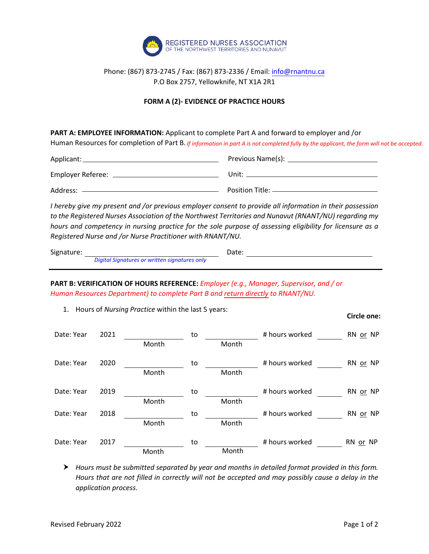

## Phone: (867) 873-2745 / Fax: (867) 873-2336 / Email[: info@rnantnu.ca](mailto:info@rnantnu.ca) P.O Box 2757, Yellowknife, NT X1A 2R1

## **FORM A (2)- EVIDENCE OF PRACTICE HOURS**

**PART A: EMPLOYEE INFORMATION:** Applicant to complete Part A and forward to employer and /or

Human Resources for completion of Part B. If information in part A is not completed fully by the applicant, the form will not be accepted.

| Applicant:        | Previous Name(s):   |
|-------------------|---------------------|
| Employer Referee: | Unit:               |
| Address:          | Position Title: $-$ |
|                   |                     |

*I* hereby give my present and /or previous employer consent to provide all information in their possession *to the Registered Nurses Association of the Northwest Territories and Nunavut (RNANT/NU) regarding my hours and competency in nursing practice for the sole purpose of assessing eligibility for licensure as a Registered Nurse and /or Nurse Practitioner with RNANT/NU.*

| Signature: |                                               | Date: |  |
|------------|-----------------------------------------------|-------|--|
|            | Digital Signatures or written signatures only |       |  |

**PART B: VERIFICATION OF HOURS REFERENCE:** *Employer (e.g., Manager, Supervisor, and / or Human Resources Department) to complete Part B and return directly to RNANT/NU.* 

1. Hours of *Nursing Practice* within the last 5 years:

|            |      |       |    |       |                | יטויטיט טווט |
|------------|------|-------|----|-------|----------------|--------------|
| Date: Year | 2021 |       | to |       | # hours worked | RN or NP     |
|            |      | Month |    | Month |                |              |
| Date: Year | 2020 |       | to |       | # hours worked | RN or NP     |
|            |      | Month |    | Month |                |              |
| Date: Year | 2019 |       | to |       | # hours worked | RN or NP     |
|            |      | Month |    | Month |                |              |
| Date: Year | 2018 |       | to |       | # hours worked | RN or NP     |
|            |      | Month |    | Month |                |              |
| Date: Year | 2017 |       | to |       | # hours worked | RN or NP     |
|            |      | Month |    | Month |                |              |

 *Hours must be submitted separated by year and months in detailed format provided in this form. Hours that are not filled in correctly will not be accepted and may possibly cause a delay in the application process.*

**Circle one:**